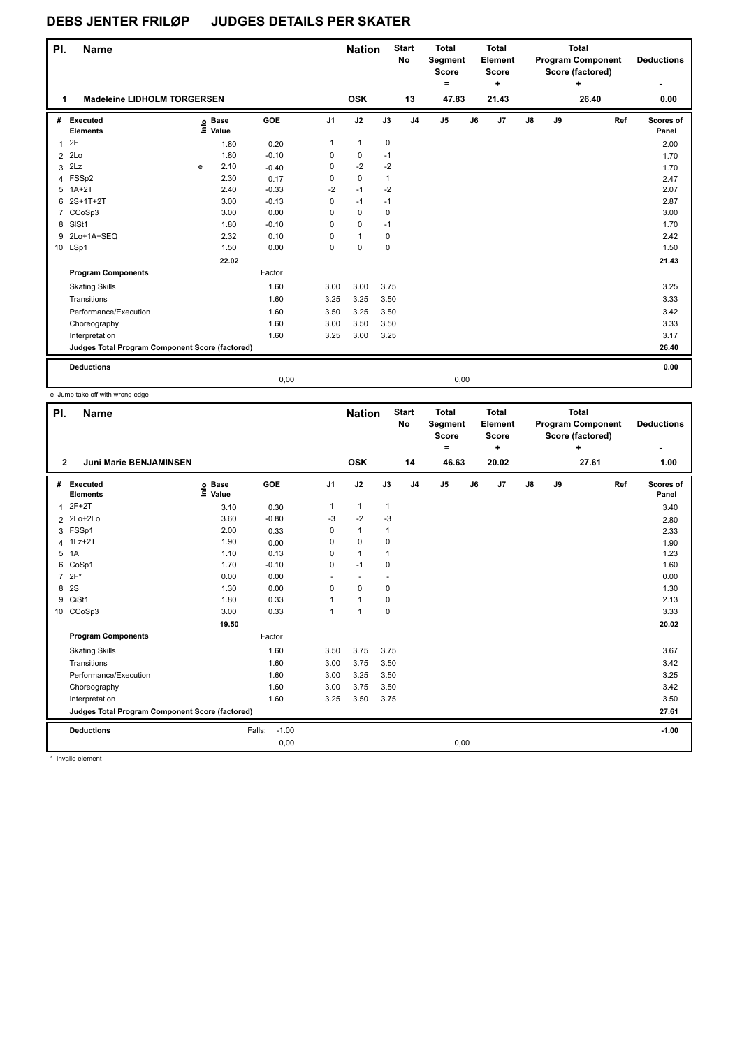| PI. | <b>Name</b>                                     |   |                   |            |                | <b>Nation</b> |              | <b>Start</b><br>No | <b>Total</b><br>Segment<br>Score<br>۰ |      | <b>Total</b><br><b>Element</b><br><b>Score</b><br>٠ |               |    | <b>Total</b><br><b>Program Component</b><br>Score (factored)<br>$\ddot{}$ | <b>Deductions</b><br>٠ |
|-----|-------------------------------------------------|---|-------------------|------------|----------------|---------------|--------------|--------------------|---------------------------------------|------|-----------------------------------------------------|---------------|----|---------------------------------------------------------------------------|------------------------|
|     | <b>Madeleine LIDHOLM TORGERSEN</b>              |   |                   |            |                | <b>OSK</b>    |              | 13                 | 47.83                                 |      | 21.43                                               |               |    | 26.40                                                                     | 0.00                   |
| #   | Executed<br><b>Elements</b>                     |   | e Base<br>E Value | <b>GOE</b> | J <sub>1</sub> | J2            | J3           | J <sub>4</sub>     | J <sub>5</sub>                        | J6   | J7                                                  | $\mathsf{J}8$ | J9 | Ref                                                                       | Scores of<br>Panel     |
| 1   | 2F                                              |   | 1.80              | 0.20       | $\mathbf{1}$   | $\mathbf{1}$  | $\mathbf 0$  |                    |                                       |      |                                                     |               |    |                                                                           | 2.00                   |
| 2   | 2Lo                                             |   | 1.80              | $-0.10$    | 0              | 0             | $-1$         |                    |                                       |      |                                                     |               |    |                                                                           | 1.70                   |
| 3   | 2Lz                                             | e | 2.10              | $-0.40$    | 0              | $-2$          | $-2$         |                    |                                       |      |                                                     |               |    |                                                                           | 1.70                   |
|     | 4 FSSp2                                         |   | 2.30              | 0.17       | $\mathbf 0$    | 0             | $\mathbf{1}$ |                    |                                       |      |                                                     |               |    |                                                                           | 2.47                   |
|     | 5 1A+2T                                         |   | 2.40              | $-0.33$    | $-2$           | $-1$          | $-2$         |                    |                                       |      |                                                     |               |    |                                                                           | 2.07                   |
|     | 6 2S+1T+2T                                      |   | 3.00              | $-0.13$    | $\mathbf 0$    | $-1$          | $-1$         |                    |                                       |      |                                                     |               |    |                                                                           | 2.87                   |
|     | 7 CCoSp3                                        |   | 3.00              | 0.00       | 0              | $\mathbf 0$   | $\mathbf 0$  |                    |                                       |      |                                                     |               |    |                                                                           | 3.00                   |
|     | 8 SISt1                                         |   | 1.80              | $-0.10$    | 0              | 0             | $-1$         |                    |                                       |      |                                                     |               |    |                                                                           | 1.70                   |
|     | 9 2Lo+1A+SEQ                                    |   | 2.32              | 0.10       | 0              | $\mathbf{1}$  | $\mathbf 0$  |                    |                                       |      |                                                     |               |    |                                                                           | 2.42                   |
|     | 10 LSp1                                         |   | 1.50              | 0.00       | $\mathbf 0$    | $\mathbf 0$   | $\mathbf 0$  |                    |                                       |      |                                                     |               |    |                                                                           | 1.50                   |
|     |                                                 |   | 22.02             |            |                |               |              |                    |                                       |      |                                                     |               |    |                                                                           | 21.43                  |
|     | <b>Program Components</b>                       |   |                   | Factor     |                |               |              |                    |                                       |      |                                                     |               |    |                                                                           |                        |
|     | <b>Skating Skills</b>                           |   |                   | 1.60       | 3.00           | 3.00          | 3.75         |                    |                                       |      |                                                     |               |    |                                                                           | 3.25                   |
|     | Transitions                                     |   |                   | 1.60       | 3.25           | 3.25          | 3.50         |                    |                                       |      |                                                     |               |    |                                                                           | 3.33                   |
|     | Performance/Execution                           |   |                   | 1.60       | 3.50           | 3.25          | 3.50         |                    |                                       |      |                                                     |               |    |                                                                           | 3.42                   |
|     | Choreography                                    |   |                   | 1.60       | 3.00           | 3.50          | 3.50         |                    |                                       |      |                                                     |               |    |                                                                           | 3.33                   |
|     | Interpretation                                  |   |                   | 1.60       | 3.25           | 3.00          | 3.25         |                    |                                       |      |                                                     |               |    |                                                                           | 3.17                   |
|     | Judges Total Program Component Score (factored) |   |                   |            |                |               |              |                    |                                       |      |                                                     |               |    |                                                                           | 26.40                  |
|     | <b>Deductions</b>                               |   |                   |            |                |               |              |                    |                                       |      |                                                     |               |    |                                                                           | 0.00                   |
|     |                                                 |   |                   | 0,00       |                |               |              |                    |                                       | 0,00 |                                                     |               |    |                                                                           |                        |

e Jump take off with wrong edge

| PI.            | <b>Name</b>                                     |                            |                   |                | <b>Nation</b>  |              | <b>Start</b><br>No | <b>Total</b><br>Segment<br><b>Score</b><br>$=$ |    | <b>Total</b><br>Element<br><b>Score</b><br>÷ |               |    | <b>Total</b><br><b>Program Component</b><br>Score (factored)<br>÷ |     | <b>Deductions</b>  |
|----------------|-------------------------------------------------|----------------------------|-------------------|----------------|----------------|--------------|--------------------|------------------------------------------------|----|----------------------------------------------|---------------|----|-------------------------------------------------------------------|-----|--------------------|
| $\mathbf{2}$   | <b>Juni Marie BENJAMINSEN</b>                   |                            |                   |                | <b>OSK</b>     |              | 14                 | 46.63                                          |    | 20.02                                        |               |    | 27.61                                                             |     | 1.00               |
| #              | Executed<br><b>Elements</b>                     | e Base<br>E Value<br>Value | GOE               | J <sub>1</sub> | J2             | J3           | J <sub>4</sub>     | J <sub>5</sub>                                 | J6 | J7                                           | $\mathsf{J}8$ | J9 |                                                                   | Ref | Scores of<br>Panel |
| 1              | $2F+2T$                                         | 3.10                       | 0.30              | 1              | $\mathbf{1}$   | $\mathbf{1}$ |                    |                                                |    |                                              |               |    |                                                                   |     | 3.40               |
|                | 2 2Lo+2Lo                                       | 3.60                       | $-0.80$           | -3             | $-2$           | -3           |                    |                                                |    |                                              |               |    |                                                                   |     | 2.80               |
|                | 3 FSSp1                                         | 2.00                       | 0.33              | 0              | $\mathbf{1}$   | 1            |                    |                                                |    |                                              |               |    |                                                                   |     | 2.33               |
| 4              | $1Lz + 2T$                                      | 1.90                       | 0.00              | 0              | $\mathbf 0$    | 0            |                    |                                                |    |                                              |               |    |                                                                   |     | 1.90               |
|                | 5 1A                                            | 1.10                       | 0.13              | 0              | $\mathbf{1}$   |              |                    |                                                |    |                                              |               |    |                                                                   |     | 1.23               |
| 6              | CoSp1                                           | 1.70                       | $-0.10$           | 0              | $-1$           | 0            |                    |                                                |    |                                              |               |    |                                                                   |     | 1.60               |
| $\overline{7}$ | $2F*$                                           | 0.00                       | 0.00              |                |                |              |                    |                                                |    |                                              |               |    |                                                                   |     | 0.00               |
| 8              | 2S                                              | 1.30                       | 0.00              | $\Omega$       | $\mathbf 0$    | 0            |                    |                                                |    |                                              |               |    |                                                                   |     | 1.30               |
| 9              | CiSt1                                           | 1.80                       | 0.33              |                | 1              | $\mathbf 0$  |                    |                                                |    |                                              |               |    |                                                                   |     | 2.13               |
|                | 10 CCoSp3                                       | 3.00                       | 0.33              | $\overline{1}$ | $\overline{1}$ | $\mathbf 0$  |                    |                                                |    |                                              |               |    |                                                                   |     | 3.33               |
|                |                                                 | 19.50                      |                   |                |                |              |                    |                                                |    |                                              |               |    |                                                                   |     | 20.02              |
|                | <b>Program Components</b>                       |                            | Factor            |                |                |              |                    |                                                |    |                                              |               |    |                                                                   |     |                    |
|                | <b>Skating Skills</b>                           |                            | 1.60              | 3.50           | 3.75           | 3.75         |                    |                                                |    |                                              |               |    |                                                                   |     | 3.67               |
|                | Transitions                                     |                            | 1.60              | 3.00           | 3.75           | 3.50         |                    |                                                |    |                                              |               |    |                                                                   |     | 3.42               |
|                | Performance/Execution                           |                            | 1.60              | 3.00           | 3.25           | 3.50         |                    |                                                |    |                                              |               |    |                                                                   |     | 3.25               |
|                | Choreography                                    |                            | 1.60              | 3.00           | 3.75           | 3.50         |                    |                                                |    |                                              |               |    |                                                                   |     | 3.42               |
|                | Interpretation                                  |                            | 1.60              | 3.25           | 3.50           | 3.75         |                    |                                                |    |                                              |               |    |                                                                   |     | 3.50               |
|                | Judges Total Program Component Score (factored) |                            |                   |                |                |              |                    |                                                |    |                                              |               |    |                                                                   |     | 27.61              |
|                | <b>Deductions</b>                               |                            | $-1.00$<br>Falls: |                |                |              |                    |                                                |    |                                              |               |    |                                                                   |     | $-1.00$            |
|                |                                                 |                            | 0,00              |                |                |              |                    | 0,00                                           |    |                                              |               |    |                                                                   |     |                    |

\* Invalid element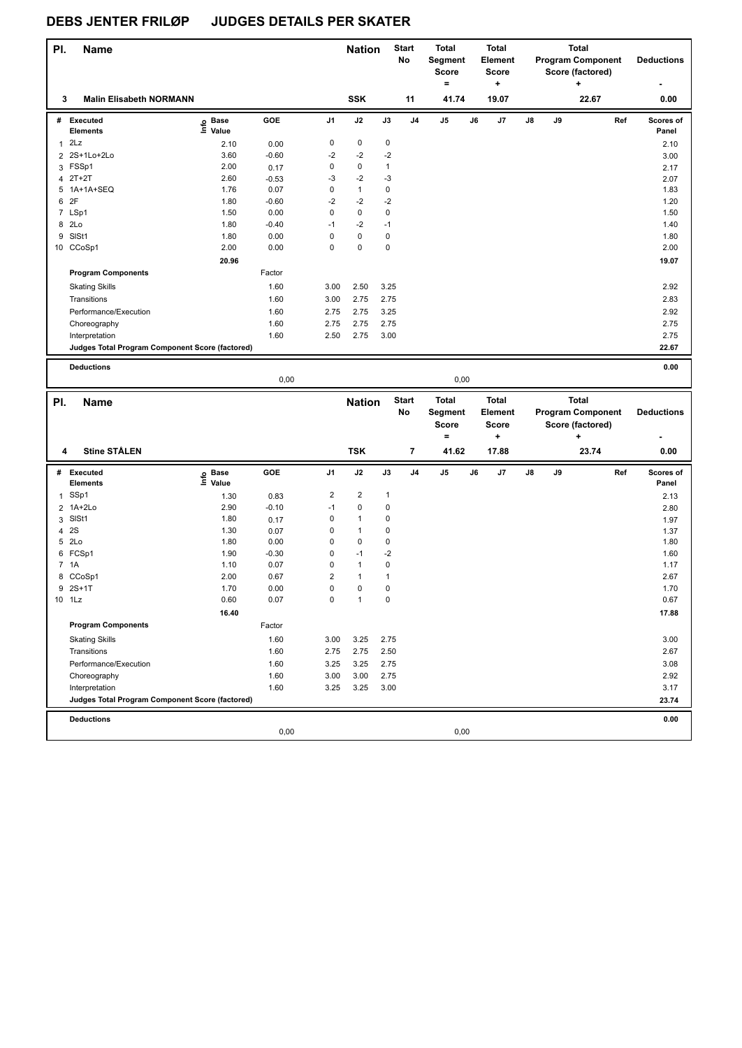| PI.          | Name                                            |                   |              |                         | <b>Nation</b>           |                   | <b>Start</b><br>No      | <b>Total</b><br>Segment<br><b>Score</b><br>$\equiv$ | <b>Total</b><br>Element<br><b>Score</b><br>÷ |    |    | <b>Total</b><br><b>Program Component</b><br>Score (factored)<br>$\ddot{}$ |     | <b>Deductions</b>  |
|--------------|-------------------------------------------------|-------------------|--------------|-------------------------|-------------------------|-------------------|-------------------------|-----------------------------------------------------|----------------------------------------------|----|----|---------------------------------------------------------------------------|-----|--------------------|
| 3            | <b>Malin Elisabeth NORMANN</b>                  |                   |              |                         | <b>SSK</b>              |                   | 11                      | 41.74                                               | 19.07                                        |    |    | 22.67                                                                     |     | 0.00               |
|              | # Executed<br><b>Elements</b>                   | e Base<br>E Value | GOE          | J1                      | J2                      | J3                | J4                      | J5                                                  | J6<br>J7                                     | J8 | J9 |                                                                           | Ref | Scores of<br>Panel |
| 1            | 2Lz                                             | 2.10              | 0.00         | $\pmb{0}$               | 0                       | 0                 |                         |                                                     |                                              |    |    |                                                                           |     | 2.10               |
|              | 2 2S+1Lo+2Lo                                    | 3.60              | $-0.60$      | -2                      | $-2$                    | $-2$              |                         |                                                     |                                              |    |    |                                                                           |     | 3.00               |
|              | 3 FSSp1                                         | 2.00              | 0.17         | 0                       | 0                       | $\mathbf{1}$      |                         |                                                     |                                              |    |    |                                                                           |     | 2.17               |
|              | 4 2T+2T                                         | 2.60              | $-0.53$      | -3                      | $-2$                    | -3                |                         |                                                     |                                              |    |    |                                                                           |     | 2.07               |
| 5            | 1A+1A+SEQ                                       | 1.76              | 0.07         | 0                       | $\mathbf{1}$            | $\pmb{0}$         |                         |                                                     |                                              |    |    |                                                                           |     | 1.83               |
| 6 2F         |                                                 | 1.80              | $-0.60$      | $-2$                    | $-2$                    | $-2$              |                         |                                                     |                                              |    |    |                                                                           |     | 1.20               |
|              | 7 LSp1                                          | 1.50              | 0.00         | 0                       | 0                       | $\pmb{0}$         |                         |                                                     |                                              |    |    |                                                                           |     | 1.50               |
|              | 8 2Lo                                           | 1.80              | $-0.40$      | $-1$                    | $-2$                    | $-1$              |                         |                                                     |                                              |    |    |                                                                           |     | 1.40               |
|              | 9 SISt1                                         | 1.80              | 0.00         | 0                       | 0                       | $\pmb{0}$         |                         |                                                     |                                              |    |    |                                                                           |     | 1.80               |
|              | 10 CCoSp1                                       | 2.00              | 0.00         | 0                       | 0                       | 0                 |                         |                                                     |                                              |    |    |                                                                           |     | 2.00               |
|              |                                                 | 20.96             |              |                         |                         |                   |                         |                                                     |                                              |    |    |                                                                           |     | 19.07              |
|              | <b>Program Components</b>                       |                   | Factor       |                         |                         |                   |                         |                                                     |                                              |    |    |                                                                           |     |                    |
|              | <b>Skating Skills</b>                           |                   | 1.60         | 3.00                    | 2.50                    | 3.25              |                         |                                                     |                                              |    |    |                                                                           |     | 2.92               |
|              | Transitions                                     |                   | 1.60         | 3.00                    | 2.75                    | 2.75              |                         |                                                     |                                              |    |    |                                                                           |     | 2.83               |
|              | Performance/Execution                           |                   | 1.60         | 2.75                    | 2.75                    | 3.25              |                         |                                                     |                                              |    |    |                                                                           |     | 2.92               |
|              | Choreography                                    |                   | 1.60         | 2.75                    | 2.75                    | 2.75              |                         |                                                     |                                              |    |    |                                                                           |     | 2.75               |
|              | Interpretation                                  |                   | 1.60         | 2.50                    | 2.75                    | 3.00              |                         |                                                     |                                              |    |    |                                                                           |     | 2.75               |
|              | Judges Total Program Component Score (factored) |                   |              |                         |                         |                   |                         |                                                     |                                              |    |    |                                                                           |     | 22.67              |
|              |                                                 |                   |              |                         |                         |                   |                         |                                                     |                                              |    |    |                                                                           |     |                    |
|              | <b>Deductions</b>                               |                   | 0,00         |                         |                         |                   |                         | 0,00                                                |                                              |    |    |                                                                           |     | 0.00               |
|              |                                                 |                   |              |                         |                         |                   |                         |                                                     |                                              |    |    |                                                                           |     |                    |
|              |                                                 |                   |              |                         |                         |                   |                         |                                                     |                                              |    |    |                                                                           |     |                    |
|              |                                                 |                   |              |                         |                         |                   | <b>Start</b>            | <b>Total</b>                                        | <b>Total</b>                                 |    |    | <b>Total</b>                                                              |     |                    |
| PI.          | Name                                            |                   |              |                         | <b>Nation</b>           |                   | No                      | Segment                                             | Element                                      |    |    | <b>Program Component</b>                                                  |     | <b>Deductions</b>  |
|              |                                                 |                   |              |                         |                         |                   |                         | <b>Score</b>                                        | <b>Score</b>                                 |    |    | Score (factored)                                                          |     |                    |
|              |                                                 |                   |              |                         |                         |                   |                         | $\equiv$                                            | ٠.                                           |    |    | ۰.                                                                        |     |                    |
| 4            | <b>Stine STÅLEN</b>                             |                   |              |                         | <b>TSK</b>              |                   | $\overline{\mathbf{r}}$ | 41.62                                               | 17.88                                        |    |    | 23.74                                                                     |     | 0.00               |
|              |                                                 |                   |              |                         |                         |                   |                         |                                                     |                                              |    |    |                                                                           |     |                    |
| #            | <b>Executed</b>                                 |                   | GOE          | J1                      | J2                      | J3                | J4                      | J5                                                  | J6<br>J7                                     | J8 | J9 |                                                                           | Ref | Scores of          |
|              | <b>Elements</b>                                 | e Base<br>E Value |              |                         |                         |                   |                         |                                                     |                                              |    |    |                                                                           |     | Panel              |
| $\mathbf{1}$ | SSp1                                            | 1.30              | 0.83         | $\overline{\mathbf{c}}$ | $\overline{\mathbf{c}}$ | $\mathbf{1}$      |                         |                                                     |                                              |    |    |                                                                           |     | 2.13               |
|              | 2 1A+2Lo                                        | 2.90              | $-0.10$      | $-1$                    | 0                       | $\mathbf 0$       |                         |                                                     |                                              |    |    |                                                                           |     | 2.80               |
|              | 3 SISt1                                         | 1.80              | 0.17         | 0                       | $\mathbf{1}$            | 0                 |                         |                                                     |                                              |    |    |                                                                           |     | 1.97               |
|              | 4 2 S<br>5 2Lo                                  | 1.30              | 0.07         | 0<br>0                  | $\mathbf{1}$<br>0       | 0<br>$\pmb{0}$    |                         |                                                     |                                              |    |    |                                                                           |     | 1.37               |
|              |                                                 | 1.80              | 0.00         | 0                       | $-1$                    |                   |                         |                                                     |                                              |    |    |                                                                           |     | 1.80               |
|              | 6 FCSp1                                         | 1.90              | $-0.30$      | 0                       | $\mathbf{1}$            | -2                |                         |                                                     |                                              |    |    |                                                                           |     | 1.60               |
|              | 7 1A                                            | 1.10<br>2.00      | 0.07<br>0.67 | $\overline{2}$          | $\mathbf{1}$            | 0<br>$\mathbf{1}$ |                         |                                                     |                                              |    |    |                                                                           |     | 1.17               |
|              | 8 CCoSp1                                        | 1.70              | 0.00         | $\mathbf 0$             | 0                       | $\mathbf 0$       |                         |                                                     |                                              |    |    |                                                                           |     | 2.67               |
|              | 9 2S+1T<br>10 1Lz                               | 0.60              | 0.07         | 0                       | $\mathbf{1}$            | 0                 |                         |                                                     |                                              |    |    |                                                                           |     | 1.70<br>0.67       |
|              |                                                 | 16.40             |              |                         |                         |                   |                         |                                                     |                                              |    |    |                                                                           |     | 17.88              |
|              | <b>Program Components</b>                       |                   | Factor       |                         |                         |                   |                         |                                                     |                                              |    |    |                                                                           |     |                    |
|              |                                                 |                   | 1.60         | 3.00                    | 3.25                    | 2.75              |                         |                                                     |                                              |    |    |                                                                           |     | 3.00               |
|              | <b>Skating Skills</b><br>Transitions            |                   |              |                         |                         |                   |                         |                                                     |                                              |    |    |                                                                           |     |                    |
|              |                                                 |                   | 1.60         | 2.75                    | 2.75                    | 2.50              |                         |                                                     |                                              |    |    |                                                                           |     | 2.67               |
|              | Performance/Execution                           |                   | 1.60         | 3.25                    | 3.25                    | 2.75              |                         |                                                     |                                              |    |    |                                                                           |     | 3.08               |
|              | Choreography                                    |                   | 1.60         | 3.00                    | 3.00                    | 2.75              |                         |                                                     |                                              |    |    |                                                                           |     | 2.92               |
|              | Interpretation                                  |                   | 1.60         | 3.25                    | 3.25                    | 3.00              |                         |                                                     |                                              |    |    |                                                                           |     | 3.17               |
|              | Judges Total Program Component Score (factored) |                   |              |                         |                         |                   |                         |                                                     |                                              |    |    |                                                                           |     | 23.74              |
|              | <b>Deductions</b>                               |                   | 0,00         |                         |                         |                   |                         | 0,00                                                |                                              |    |    |                                                                           |     | 0.00               |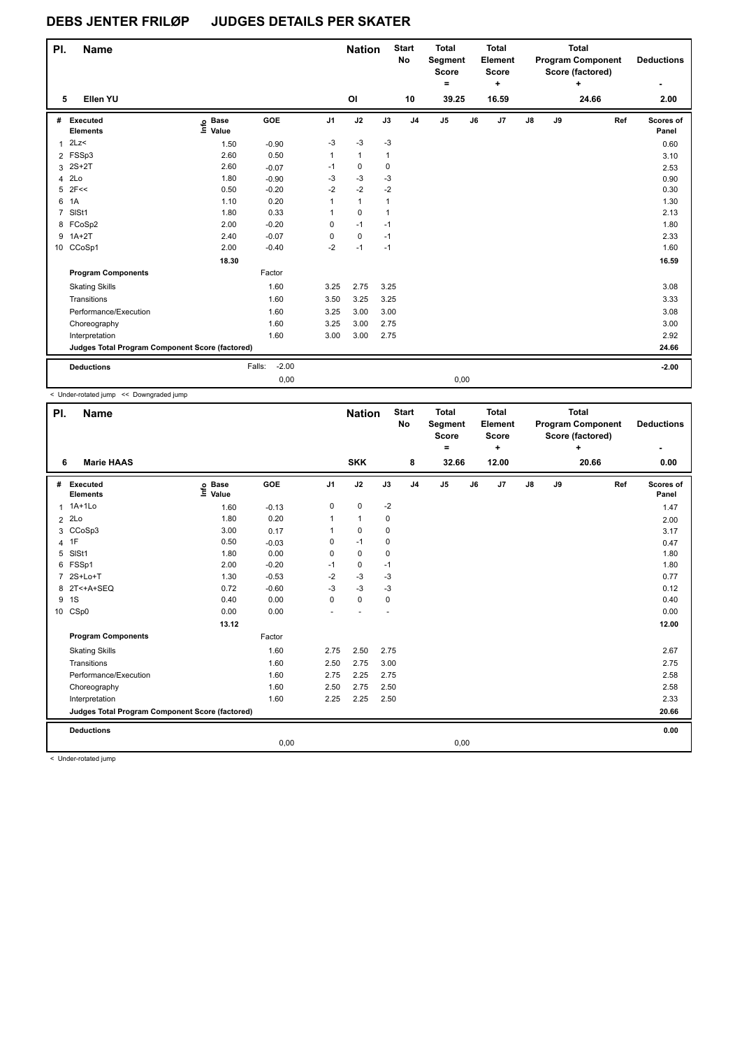| PI.            | <b>Name</b>                                     |                            |                   |                | <b>Nation</b>  |              | <b>Start</b><br>No | <b>Total</b><br>Segment<br><b>Score</b><br>۰ |    | <b>Total</b><br>Element<br><b>Score</b><br>÷ |               |    | <b>Total</b><br><b>Program Component</b><br>Score (factored)<br>÷ |     | <b>Deductions</b>  |
|----------------|-------------------------------------------------|----------------------------|-------------------|----------------|----------------|--------------|--------------------|----------------------------------------------|----|----------------------------------------------|---------------|----|-------------------------------------------------------------------|-----|--------------------|
| 5              | Ellen YU                                        |                            |                   |                | O <sub>l</sub> |              | 10                 | 39.25                                        |    | 16.59                                        |               |    | 24.66                                                             |     | 2.00               |
| #              | Executed<br><b>Elements</b>                     | <b>Base</b><br>١m<br>Value | GOE               | J <sub>1</sub> | J2             | J3           | J <sub>4</sub>     | J <sub>5</sub>                               | J6 | J7                                           | $\mathsf{J}8$ | J9 |                                                                   | Ref | Scores of<br>Panel |
| $\mathbf{1}$   | 2Lz                                             | 1.50                       | $-0.90$           | $-3$           | $-3$           | $-3$         |                    |                                              |    |                                              |               |    |                                                                   |     | 0.60               |
|                | 2 FSSp3                                         | 2.60                       | 0.50              | 1              | $\mathbf{1}$   | 1            |                    |                                              |    |                                              |               |    |                                                                   |     | 3.10               |
| 3              | $2S+2T$                                         | 2.60                       | $-0.07$           | $-1$           | 0              | 0            |                    |                                              |    |                                              |               |    |                                                                   |     | 2.53               |
| 4              | 2Lo                                             | 1.80                       | $-0.90$           | -3             | $-3$           | $-3$         |                    |                                              |    |                                              |               |    |                                                                   |     | 0.90               |
| 5              | 2F<<                                            | 0.50                       | $-0.20$           | $-2$           | $-2$           | $-2$         |                    |                                              |    |                                              |               |    |                                                                   |     | 0.30               |
| 6              | 1A                                              | 1.10                       | 0.20              | 1              | $\mathbf{1}$   | $\mathbf{1}$ |                    |                                              |    |                                              |               |    |                                                                   |     | 1.30               |
| $\overline{7}$ | SISt1                                           | 1.80                       | 0.33              | 1              | $\mathbf 0$    | $\mathbf{1}$ |                    |                                              |    |                                              |               |    |                                                                   |     | 2.13               |
|                | 8 FCoSp2                                        | 2.00                       | $-0.20$           | 0              | $-1$           | $-1$         |                    |                                              |    |                                              |               |    |                                                                   |     | 1.80               |
|                | $9$ 1A+2T                                       | 2.40                       | $-0.07$           | 0              | $\mathbf 0$    | $-1$         |                    |                                              |    |                                              |               |    |                                                                   |     | 2.33               |
|                | 10 CCoSp1                                       | 2.00                       | $-0.40$           | $-2$           | $-1$           | $-1$         |                    |                                              |    |                                              |               |    |                                                                   |     | 1.60               |
|                |                                                 | 18.30                      |                   |                |                |              |                    |                                              |    |                                              |               |    |                                                                   |     | 16.59              |
|                | <b>Program Components</b>                       |                            | Factor            |                |                |              |                    |                                              |    |                                              |               |    |                                                                   |     |                    |
|                | <b>Skating Skills</b>                           |                            | 1.60              | 3.25           | 2.75           | 3.25         |                    |                                              |    |                                              |               |    |                                                                   |     | 3.08               |
|                | Transitions                                     |                            | 1.60              | 3.50           | 3.25           | 3.25         |                    |                                              |    |                                              |               |    |                                                                   |     | 3.33               |
|                | Performance/Execution                           |                            | 1.60              | 3.25           | 3.00           | 3.00         |                    |                                              |    |                                              |               |    |                                                                   |     | 3.08               |
|                | Choreography                                    |                            | 1.60              | 3.25           | 3.00           | 2.75         |                    |                                              |    |                                              |               |    |                                                                   |     | 3.00               |
|                | Interpretation                                  |                            | 1.60              | 3.00           | 3.00           | 2.75         |                    |                                              |    |                                              |               |    |                                                                   |     | 2.92               |
|                | Judges Total Program Component Score (factored) |                            |                   |                |                |              |                    |                                              |    |                                              |               |    |                                                                   |     | 24.66              |
|                | <b>Deductions</b>                               |                            | $-2.00$<br>Falls: |                |                |              |                    |                                              |    |                                              |               |    |                                                                   |     | $-2.00$            |
|                |                                                 |                            | 0,00              |                |                |              |                    | 0,00                                         |    |                                              |               |    |                                                                   |     |                    |

< Under-rotated jump << Downgraded jump

| PI.         | <b>Name</b>                                     |                   |         |                | <b>Nation</b> |      | <b>Start</b><br><b>No</b> | <b>Total</b><br>Segment<br><b>Score</b><br>۰ |    | <b>Total</b><br>Element<br><b>Score</b><br>٠ |               |    | <b>Total</b><br><b>Program Component</b><br>Score (factored)<br>÷ |     | <b>Deductions</b>  |
|-------------|-------------------------------------------------|-------------------|---------|----------------|---------------|------|---------------------------|----------------------------------------------|----|----------------------------------------------|---------------|----|-------------------------------------------------------------------|-----|--------------------|
| 6           | <b>Marie HAAS</b>                               |                   |         |                | <b>SKK</b>    |      | 8                         | 32.66                                        |    | 12.00                                        |               |    | 20.66                                                             |     | 0.00               |
| #           | Executed<br><b>Elements</b>                     | e Base<br>⊆ Value | GOE     | J <sub>1</sub> | J2            | J3   | J <sub>4</sub>            | J <sub>5</sub>                               | J6 | J7                                           | $\mathsf{J}8$ | J9 |                                                                   | Ref | Scores of<br>Panel |
|             | 1 1A+1Lo                                        | 1.60              | $-0.13$ | 0              | 0             | $-2$ |                           |                                              |    |                                              |               |    |                                                                   |     | 1.47               |
|             | $2$ $2Lo$                                       | 1.80              | 0.20    |                | $\mathbf{1}$  | 0    |                           |                                              |    |                                              |               |    |                                                                   |     | 2.00               |
|             | 3 CCoSp3                                        | 3.00              | 0.17    |                | 0             | 0    |                           |                                              |    |                                              |               |    |                                                                   |     | 3.17               |
|             | 4 1F                                            | 0.50              | $-0.03$ | 0              | $-1$          | 0    |                           |                                              |    |                                              |               |    |                                                                   |     | 0.47               |
| 5           | SISt1                                           | 1.80              | 0.00    | 0              | $\mathbf 0$   | 0    |                           |                                              |    |                                              |               |    |                                                                   |     | 1.80               |
| 6           | FSSp1                                           | 2.00              | $-0.20$ | $-1$           | 0             | $-1$ |                           |                                              |    |                                              |               |    |                                                                   |     | 1.80               |
| $7^{\circ}$ | 2S+Lo+T                                         | 1.30              | $-0.53$ | $-2$           | $-3$          | -3   |                           |                                              |    |                                              |               |    |                                                                   |     | 0.77               |
|             | 8 2T<+A+SEQ                                     | 0.72              | $-0.60$ | $-3$           | -3            | $-3$ |                           |                                              |    |                                              |               |    |                                                                   |     | 0.12               |
|             | 9 1 S                                           | 0.40              | 0.00    | 0              | $\mathbf 0$   | 0    |                           |                                              |    |                                              |               |    |                                                                   |     | 0.40               |
|             | 10 CSp0                                         | 0.00              | 0.00    |                |               |      |                           |                                              |    |                                              |               |    |                                                                   |     | 0.00               |
|             |                                                 | 13.12             |         |                |               |      |                           |                                              |    |                                              |               |    |                                                                   |     | 12.00              |
|             | <b>Program Components</b>                       |                   | Factor  |                |               |      |                           |                                              |    |                                              |               |    |                                                                   |     |                    |
|             | <b>Skating Skills</b>                           |                   | 1.60    | 2.75           | 2.50          | 2.75 |                           |                                              |    |                                              |               |    |                                                                   |     | 2.67               |
|             | Transitions                                     |                   | 1.60    | 2.50           | 2.75          | 3.00 |                           |                                              |    |                                              |               |    |                                                                   |     | 2.75               |
|             | Performance/Execution                           |                   | 1.60    | 2.75           | 2.25          | 2.75 |                           |                                              |    |                                              |               |    |                                                                   |     | 2.58               |
|             | Choreography                                    |                   | 1.60    | 2.50           | 2.75          | 2.50 |                           |                                              |    |                                              |               |    |                                                                   |     | 2.58               |
|             | Interpretation                                  |                   | 1.60    | 2.25           | 2.25          | 2.50 |                           |                                              |    |                                              |               |    |                                                                   |     | 2.33               |
|             | Judges Total Program Component Score (factored) |                   |         |                |               |      |                           |                                              |    |                                              |               |    |                                                                   |     | 20.66              |
|             | <b>Deductions</b>                               |                   |         |                |               |      |                           |                                              |    |                                              |               |    |                                                                   |     | 0.00               |
|             |                                                 |                   | 0,00    |                |               |      |                           | 0,00                                         |    |                                              |               |    |                                                                   |     |                    |
|             | $\geq$ linder retated jump.                     |                   |         |                |               |      |                           |                                              |    |                                              |               |    |                                                                   |     |                    |

< Under-rotated jump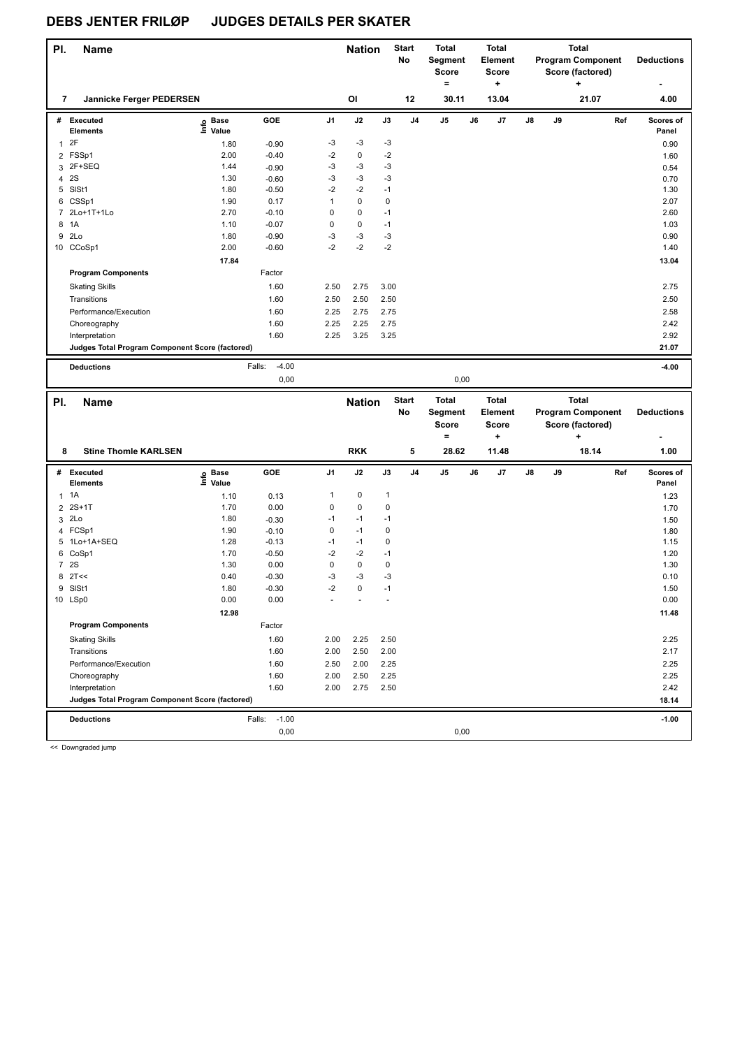| PI.          | Name                                            |                   |                           |              | <b>Nation</b> |              | <b>Start</b><br>No | <b>Total</b><br>Segment  |    | <b>Total</b><br>Element |    |    | <b>Total</b><br><b>Program Component</b> |     | <b>Deductions</b>  |
|--------------|-------------------------------------------------|-------------------|---------------------------|--------------|---------------|--------------|--------------------|--------------------------|----|-------------------------|----|----|------------------------------------------|-----|--------------------|
|              |                                                 |                   |                           |              |               |              |                    | Score                    |    | <b>Score</b>            |    |    | Score (factored)                         |     |                    |
|              |                                                 |                   |                           |              |               |              |                    | $\equiv$                 |    | ٠                       |    |    | ۰.                                       |     |                    |
| 7            | Jannicke Ferger PEDERSEN                        |                   |                           |              | OI            |              | 12                 | 30.11                    |    | 13.04                   |    |    | 21.07                                    |     | 4.00               |
|              | # Executed<br><b>Elements</b>                   | e Base<br>E Value | GOE                       | J1           | J2            | J3           | J4                 | J5                       | J6 | J7                      | J8 | J9 |                                          | Ref | Scores of<br>Panel |
| $\mathbf{1}$ | 2F                                              | 1.80              | $-0.90$                   | -3           | $-3$          | $-3$         |                    |                          |    |                         |    |    |                                          |     | 0.90               |
|              | 2 FSSp1                                         | 2.00              | $-0.40$                   | -2           | 0             | $-2$         |                    |                          |    |                         |    |    |                                          |     | 1.60               |
|              | 3 2F+SEQ                                        | 1.44              | $-0.90$                   | -3           | $-3$          | -3           |                    |                          |    |                         |    |    |                                          |     | 0.54               |
|              | 4 2 S                                           | 1.30              | $-0.60$                   | -3           | $-3$          | $-3$         |                    |                          |    |                         |    |    |                                          |     | 0.70               |
|              | 5 SISt1                                         | 1.80              | $-0.50$                   | -2           | $-2$          | $-1$         |                    |                          |    |                         |    |    |                                          |     | 1.30               |
|              | 6 CSSp1                                         | 1.90              | 0.17                      | $\mathbf{1}$ | 0             | 0            |                    |                          |    |                         |    |    |                                          |     | 2.07               |
|              | 7 2Lo+1T+1Lo                                    | 2.70              | $-0.10$                   | 0            | 0             | $-1$         |                    |                          |    |                         |    |    |                                          |     | 2.60               |
| 8            | 1A                                              | 1.10              | $-0.07$                   | $\mathsf 0$  | 0             | $-1$         |                    |                          |    |                         |    |    |                                          |     | 1.03               |
| 9            | 2Lo                                             | 1.80              | $-0.90$                   | -3<br>$-2$   | $-3$<br>$-2$  | $-3$         |                    |                          |    |                         |    |    |                                          |     | 0.90               |
|              | 10 CCoSp1                                       | 2.00              | $-0.60$                   |              |               | $-2$         |                    |                          |    |                         |    |    |                                          |     | 1.40               |
|              |                                                 | 17.84             | Factor                    |              |               |              |                    |                          |    |                         |    |    |                                          |     | 13.04              |
|              | <b>Program Components</b>                       |                   |                           |              |               |              |                    |                          |    |                         |    |    |                                          |     |                    |
|              | <b>Skating Skills</b>                           |                   | 1.60                      | 2.50         | 2.75          | 3.00         |                    |                          |    |                         |    |    |                                          |     | 2.75               |
|              | Transitions                                     |                   | 1.60                      | 2.50         | 2.50          | 2.50         |                    |                          |    |                         |    |    |                                          |     | 2.50               |
|              | Performance/Execution                           |                   | 1.60                      | 2.25         | 2.75          | 2.75         |                    |                          |    |                         |    |    |                                          |     | 2.58               |
|              | Choreography                                    |                   | 1.60                      | 2.25         | 2.25          | 2.75         |                    |                          |    |                         |    |    |                                          |     | 2.42               |
|              | Interpretation                                  |                   | 1.60                      | 2.25         | 3.25          | 3.25         |                    |                          |    |                         |    |    |                                          |     | 2.92               |
|              | Judges Total Program Component Score (factored) |                   |                           |              |               |              |                    |                          |    |                         |    |    |                                          |     | 21.07              |
|              | <b>Deductions</b>                               |                   | $-4.00$<br>Falls:         |              |               |              |                    |                          |    |                         |    |    |                                          |     | $-4.00$            |
|              |                                                 |                   | 0,00                      |              |               |              |                    | 0,00                     |    |                         |    |    |                                          |     |                    |
|              |                                                 |                   |                           |              |               |              |                    |                          |    |                         |    |    |                                          |     |                    |
|              |                                                 |                   |                           |              |               |              |                    |                          |    |                         |    |    |                                          |     |                    |
| PI.          | <b>Name</b>                                     |                   |                           |              | <b>Nation</b> |              | <b>Start</b>       | Total                    |    | <b>Total</b>            |    |    | <b>Total</b>                             |     |                    |
|              |                                                 |                   |                           |              |               |              | No                 | Segment                  |    | <b>Element</b>          |    |    | <b>Program Component</b>                 |     | <b>Deductions</b>  |
|              |                                                 |                   |                           |              |               |              |                    | <b>Score</b><br>$\equiv$ |    | Score<br>+              |    |    | Score (factored)<br>÷                    |     |                    |
| 8            | <b>Stine Thomle KARLSEN</b>                     |                   |                           |              | <b>RKK</b>    |              | 5                  | 28.62                    |    | 11.48                   |    |    | 18.14                                    |     | 1.00               |
|              |                                                 |                   |                           |              |               |              |                    |                          |    |                         |    |    |                                          |     |                    |
|              | # Executed                                      | ၉ Base            | GOE                       | J1           | J2            | J3           | J4                 | J5                       | J6 | J7                      | J8 | J9 |                                          | Ref | Scores of          |
|              | <b>Elements</b>                                 | $\bar{z}$ Value   |                           |              |               |              |                    |                          |    |                         |    |    |                                          |     | Panel              |
| 1            | 1A                                              | 1.10              | 0.13                      | $\mathbf{1}$ | $\pmb{0}$     | $\mathbf{1}$ |                    |                          |    |                         |    |    |                                          |     | 1.23               |
|              | 2 2S+1T                                         | 1.70              | 0.00                      | 0            | $\mathbf 0$   | 0            |                    |                          |    |                         |    |    |                                          |     | 1.70               |
|              | 3 2Lo                                           | 1.80              | $-0.30$                   | -1           | $-1$          | $-1$         |                    |                          |    |                         |    |    |                                          |     | 1.50               |
|              | 4 FCSp1                                         | 1.90              | $-0.10$                   | 0            | $-1$          | 0            |                    |                          |    |                         |    |    |                                          |     | 1.80               |
|              | 5 1Lo+1A+SEQ                                    | 1.28              | $-0.13$                   | -1           | $-1$          | 0            |                    |                          |    |                         |    |    |                                          |     | 1.15               |
|              | 6 CoSp1                                         | 1.70              | $-0.50$                   | $-2$         | $-2$          | $-1$         |                    |                          |    |                         |    |    |                                          |     | 1.20               |
|              | 7 2S                                            | 1.30              | 0.00                      | 0            | 0             | 0            |                    |                          |    |                         |    |    |                                          |     | 1.30               |
|              | $8$ 2T <<                                       | 0.40<br>1.80      | $-0.30$<br>$-0.30$        | -3<br>$-2$   | $-3$<br>0     | -3<br>$-1$   |                    |                          |    |                         |    |    |                                          |     | 0.10               |
|              | 9 SISt1<br>10 LSp0                              | 0.00              | 0.00                      |              |               |              |                    |                          |    |                         |    |    |                                          |     | 1.50<br>0.00       |
|              |                                                 | 12.98             |                           |              |               |              |                    |                          |    |                         |    |    |                                          |     | 11.48              |
|              | <b>Program Components</b>                       |                   | Factor                    |              |               |              |                    |                          |    |                         |    |    |                                          |     |                    |
|              |                                                 |                   | 1.60                      |              |               |              |                    |                          |    |                         |    |    |                                          |     | 2.25               |
|              | <b>Skating Skills</b>                           |                   |                           | 2.00         | 2.25          | 2.50         |                    |                          |    |                         |    |    |                                          |     |                    |
|              | Transitions                                     |                   | 1.60                      | 2.00         | 2.50          | 2.00         |                    |                          |    |                         |    |    |                                          |     | 2.17               |
|              | Performance/Execution                           |                   | 1.60                      | 2.50         | 2.00          | 2.25         |                    |                          |    |                         |    |    |                                          |     | 2.25               |
|              | Choreography<br>Interpretation                  |                   | 1.60<br>1.60              | 2.00<br>2.00 | 2.50<br>2.75  | 2.25<br>2.50 |                    |                          |    |                         |    |    |                                          |     | 2.25<br>2.42       |
|              | Judges Total Program Component Score (factored) |                   |                           |              |               |              |                    |                          |    |                         |    |    |                                          |     | 18.14              |
|              |                                                 |                   |                           |              |               |              |                    |                          |    |                         |    |    |                                          |     |                    |
|              | <b>Deductions</b>                               |                   | $-1.00$<br>Falls:<br>0,00 |              |               |              |                    | 0,00                     |    |                         |    |    |                                          |     | $-1.00$            |

<< Downgraded jump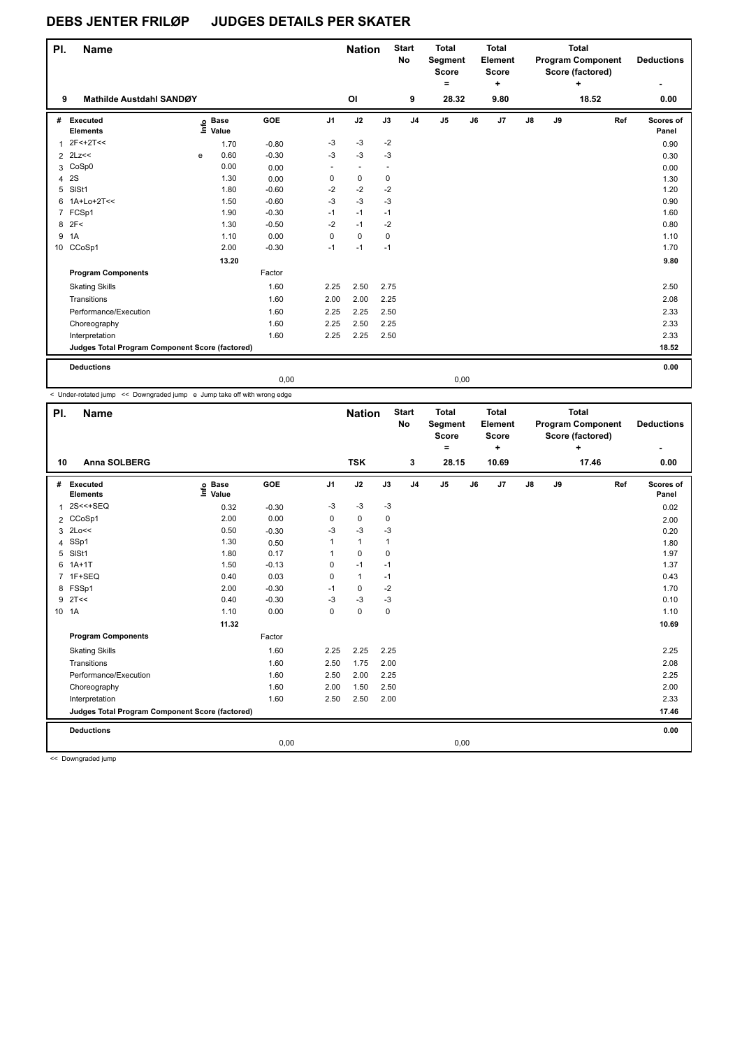| PI.            | <b>Name</b>                                     |   |                   |            |                | <b>Nation</b>  |                          | <b>Start</b><br><b>No</b> | <b>Total</b><br>Segment<br><b>Score</b><br>۰ |    | <b>Total</b><br>Element<br><b>Score</b><br>٠ |               |    | <b>Total</b><br><b>Program Component</b><br>Score (factored)<br>$\ddot{}$ |     | <b>Deductions</b><br>٠ |
|----------------|-------------------------------------------------|---|-------------------|------------|----------------|----------------|--------------------------|---------------------------|----------------------------------------------|----|----------------------------------------------|---------------|----|---------------------------------------------------------------------------|-----|------------------------|
| 9              | Mathilde Austdahl SANDØY                        |   |                   |            |                | OI             |                          | 9                         | 28.32                                        |    | 9.80                                         |               |    | 18.52                                                                     |     | 0.00                   |
| #              | Executed<br><b>Elements</b>                     |   | e Base<br>E Value | <b>GOE</b> | J <sub>1</sub> | J2             | J3                       | J <sub>4</sub>            | J <sub>5</sub>                               | J6 | J7                                           | $\mathsf{J}8$ | J9 |                                                                           | Ref | Scores of<br>Panel     |
| 1              | $2F<+2T<<$                                      |   | 1.70              | $-0.80$    | -3             | $-3$           | $-2$                     |                           |                                              |    |                                              |               |    |                                                                           |     | 0.90                   |
|                | $2$ 2Lz <<                                      | e | 0.60              | $-0.30$    | $-3$           | $-3$           | $-3$                     |                           |                                              |    |                                              |               |    |                                                                           |     | 0.30                   |
|                | 3 CoSp0                                         |   | 0.00              | 0.00       | $\sim$         | $\blacksquare$ | $\overline{\phantom{a}}$ |                           |                                              |    |                                              |               |    |                                                                           |     | 0.00                   |
| 4              | 2S                                              |   | 1.30              | 0.00       | 0              | 0              | $\mathbf 0$              |                           |                                              |    |                                              |               |    |                                                                           |     | 1.30                   |
| 5              | SISt1                                           |   | 1.80              | $-0.60$    | $-2$           | $-2$           | $-2$                     |                           |                                              |    |                                              |               |    |                                                                           |     | 1.20                   |
|                | 6 1A+Lo+2T<<                                    |   | 1.50              | $-0.60$    | $-3$           | $-3$           | $-3$                     |                           |                                              |    |                                              |               |    |                                                                           |     | 0.90                   |
| $\overline{7}$ | FCSp1                                           |   | 1.90              | $-0.30$    | $-1$           | $-1$           | $-1$                     |                           |                                              |    |                                              |               |    |                                                                           |     | 1.60                   |
|                | 8 2F<                                           |   | 1.30              | $-0.50$    | $-2$           | $-1$           | $-2$                     |                           |                                              |    |                                              |               |    |                                                                           |     | 0.80                   |
| 9              | 1A                                              |   | 1.10              | 0.00       | 0              | 0              | $\mathbf 0$              |                           |                                              |    |                                              |               |    |                                                                           |     | 1.10                   |
|                | 10 CCoSp1                                       |   | 2.00              | $-0.30$    | $-1$           | $-1$           | $-1$                     |                           |                                              |    |                                              |               |    |                                                                           |     | 1.70                   |
|                |                                                 |   | 13.20             |            |                |                |                          |                           |                                              |    |                                              |               |    |                                                                           |     | 9.80                   |
|                | <b>Program Components</b>                       |   |                   | Factor     |                |                |                          |                           |                                              |    |                                              |               |    |                                                                           |     |                        |
|                | <b>Skating Skills</b>                           |   |                   | 1.60       | 2.25           | 2.50           | 2.75                     |                           |                                              |    |                                              |               |    |                                                                           |     | 2.50                   |
|                | Transitions                                     |   |                   | 1.60       | 2.00           | 2.00           | 2.25                     |                           |                                              |    |                                              |               |    |                                                                           |     | 2.08                   |
|                | Performance/Execution                           |   |                   | 1.60       | 2.25           | 2.25           | 2.50                     |                           |                                              |    |                                              |               |    |                                                                           |     | 2.33                   |
|                | Choreography                                    |   |                   | 1.60       | 2.25           | 2.50           | 2.25                     |                           |                                              |    |                                              |               |    |                                                                           |     | 2.33                   |
|                | Interpretation                                  |   |                   | 1.60       | 2.25           | 2.25           | 2.50                     |                           |                                              |    |                                              |               |    |                                                                           |     | 2.33                   |
|                | Judges Total Program Component Score (factored) |   |                   |            |                |                |                          |                           |                                              |    |                                              |               |    |                                                                           |     | 18.52                  |
|                | <b>Deductions</b>                               |   |                   |            |                |                |                          |                           |                                              |    |                                              |               |    |                                                                           |     | 0.00                   |
|                |                                                 |   |                   | 0,00       |                |                |                          |                           | 0,00                                         |    |                                              |               |    |                                                                           |     |                        |

< Under-rotated jump << Downgraded jump e Jump take off with wrong edge

| PI. | <b>Name</b>                                     |                                  |            |                | <b>Nation</b> |      | <b>Start</b><br><b>No</b> | Total<br>Segment<br><b>Score</b><br>۰ |    | <b>Total</b><br>Element<br><b>Score</b><br>٠ |               |    | <b>Total</b><br><b>Program Component</b><br>Score (factored)<br>+ |     | <b>Deductions</b>  |
|-----|-------------------------------------------------|----------------------------------|------------|----------------|---------------|------|---------------------------|---------------------------------------|----|----------------------------------------------|---------------|----|-------------------------------------------------------------------|-----|--------------------|
| 10  | Anna SOLBERG                                    |                                  |            |                | <b>TSK</b>    |      | 3                         | 28.15                                 |    | 10.69                                        |               |    | 17.46                                                             |     | 0.00               |
| #   | Executed<br><b>Elements</b>                     | <b>Base</b><br>e Base<br>⊆ Value | <b>GOE</b> | J <sub>1</sub> | J2            | J3   | J <sub>4</sub>            | J <sub>5</sub>                        | J6 | J7                                           | $\mathsf{J}8$ | J9 |                                                                   | Ref | Scores of<br>Panel |
| 1   | 2S<<+SEQ                                        | 0.32                             | $-0.30$    | -3             | $-3$          | -3   |                           |                                       |    |                                              |               |    |                                                                   |     | 0.02               |
|     | 2 CCoSp1                                        | 2.00                             | 0.00       | 0              | 0             | 0    |                           |                                       |    |                                              |               |    |                                                                   |     | 2.00               |
| 3   | 2Lo<<                                           | 0.50                             | $-0.30$    | -3             | $-3$          | -3   |                           |                                       |    |                                              |               |    |                                                                   |     | 0.20               |
| 4   | SSp1                                            | 1.30                             | 0.50       |                | $\mathbf{1}$  | 1    |                           |                                       |    |                                              |               |    |                                                                   |     | 1.80               |
| 5   | SISt1                                           | 1.80                             | 0.17       | 1              | $\pmb{0}$     | 0    |                           |                                       |    |                                              |               |    |                                                                   |     | 1.97               |
| 6   | $1A+1T$                                         | 1.50                             | $-0.13$    | 0              | $-1$          | $-1$ |                           |                                       |    |                                              |               |    |                                                                   |     | 1.37               |
|     | 7 1F+SEQ                                        | 0.40                             | 0.03       | 0              | $\mathbf{1}$  | $-1$ |                           |                                       |    |                                              |               |    |                                                                   |     | 0.43               |
|     | 8 FSSp1                                         | 2.00                             | $-0.30$    | $-1$           | 0             | $-2$ |                           |                                       |    |                                              |               |    |                                                                   |     | 1.70               |
| 9   | 2T<<                                            | 0.40                             | $-0.30$    | $-3$           | -3            | $-3$ |                           |                                       |    |                                              |               |    |                                                                   |     | 0.10               |
|     | 10 1A                                           | 1.10                             | 0.00       | 0              | $\pmb{0}$     | 0    |                           |                                       |    |                                              |               |    |                                                                   |     | 1.10               |
|     |                                                 | 11.32                            |            |                |               |      |                           |                                       |    |                                              |               |    |                                                                   |     | 10.69              |
|     | <b>Program Components</b>                       |                                  | Factor     |                |               |      |                           |                                       |    |                                              |               |    |                                                                   |     |                    |
|     | <b>Skating Skills</b>                           |                                  | 1.60       | 2.25           | 2.25          | 2.25 |                           |                                       |    |                                              |               |    |                                                                   |     | 2.25               |
|     | Transitions                                     |                                  | 1.60       | 2.50           | 1.75          | 2.00 |                           |                                       |    |                                              |               |    |                                                                   |     | 2.08               |
|     | Performance/Execution                           |                                  | 1.60       | 2.50           | 2.00          | 2.25 |                           |                                       |    |                                              |               |    |                                                                   |     | 2.25               |
|     | Choreography                                    |                                  | 1.60       | 2.00           | 1.50          | 2.50 |                           |                                       |    |                                              |               |    |                                                                   |     | 2.00               |
|     | Interpretation                                  |                                  | 1.60       | 2.50           | 2.50          | 2.00 |                           |                                       |    |                                              |               |    |                                                                   |     | 2.33               |
|     | Judges Total Program Component Score (factored) |                                  |            |                |               |      |                           |                                       |    |                                              |               |    |                                                                   |     | 17.46              |
|     | <b>Deductions</b>                               |                                  |            |                |               |      |                           |                                       |    |                                              |               |    |                                                                   |     | 0.00               |
|     |                                                 |                                  | 0,00       |                |               |      |                           | 0,00                                  |    |                                              |               |    |                                                                   |     |                    |
|     | <b>22 Doumanded inner</b>                       |                                  |            |                |               |      |                           |                                       |    |                                              |               |    |                                                                   |     |                    |

<< Downgraded jump

L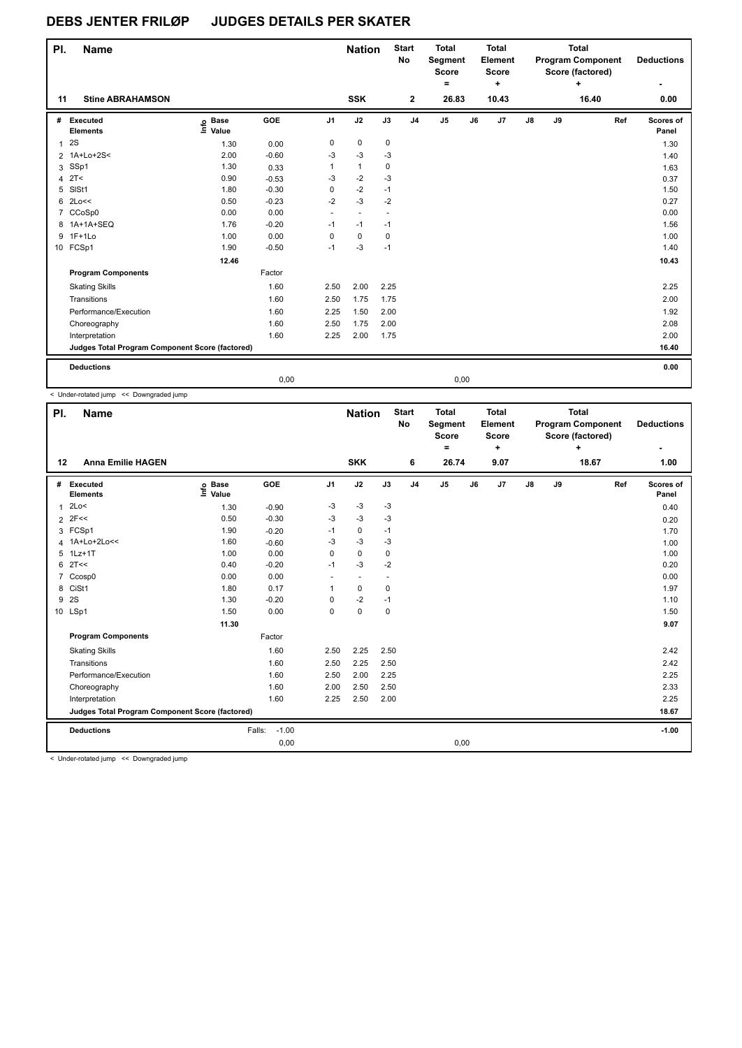| PI.            | <b>Name</b>                                     |                            |         |        | <b>Nation</b>            |                      | <b>Start</b><br>No | <b>Total</b><br>Segment<br><b>Score</b> |    | <b>Total</b><br>Element<br><b>Score</b> |               |    | <b>Total</b><br><b>Program Component</b><br>Score (factored) |     | <b>Deductions</b>  |
|----------------|-------------------------------------------------|----------------------------|---------|--------|--------------------------|----------------------|--------------------|-----------------------------------------|----|-----------------------------------------|---------------|----|--------------------------------------------------------------|-----|--------------------|
|                |                                                 |                            |         |        |                          |                      |                    | ۰                                       |    | ÷                                       |               |    | ÷                                                            |     | ٠                  |
| 11             | <b>Stine ABRAHAMSON</b>                         |                            |         |        | <b>SSK</b>               |                      | $\mathbf{2}$       | 26.83                                   |    | 10.43                                   |               |    | 16.40                                                        |     | 0.00               |
| #              | Executed<br><b>Elements</b>                     | © Base<br>E Value<br>Value | GOE     | J1     | J2                       | J3                   | J <sub>4</sub>     | J <sub>5</sub>                          | J6 | J7                                      | $\mathsf{J}8$ | J9 |                                                              | Ref | Scores of<br>Panel |
| $\mathbf{1}$   | 2S                                              | 1.30                       | 0.00    | 0      | $\pmb{0}$                | 0                    |                    |                                         |    |                                         |               |    |                                                              |     | 1.30               |
| $\overline{2}$ | 1A+Lo+2S<                                       | 2.00                       | $-0.60$ | -3     | $-3$                     | $-3$                 |                    |                                         |    |                                         |               |    |                                                              |     | 1.40               |
| 3              | SSp1                                            | 1.30                       | 0.33    | 1      | $\mathbf{1}$             | 0                    |                    |                                         |    |                                         |               |    |                                                              |     | 1.63               |
| 4              | 2T<                                             | 0.90                       | $-0.53$ | $-3$   | $-2$                     | $-3$                 |                    |                                         |    |                                         |               |    |                                                              |     | 0.37               |
| 5              | SISt1                                           | 1.80                       | $-0.30$ | 0      | $-2$                     | $-1$                 |                    |                                         |    |                                         |               |    |                                                              |     | 1.50               |
| 6              | 2Lo<<                                           | 0.50                       | $-0.23$ | $-2$   | $-3$                     | $-2$                 |                    |                                         |    |                                         |               |    |                                                              |     | 0.27               |
|                | 7 CCoSp0                                        | 0.00                       | 0.00    | $\sim$ | $\overline{\phantom{a}}$ | $\ddot{\phantom{1}}$ |                    |                                         |    |                                         |               |    |                                                              |     | 0.00               |
|                | 8 1A+1A+SEQ                                     | 1.76                       | $-0.20$ | $-1$   | $-1$                     | $-1$                 |                    |                                         |    |                                         |               |    |                                                              |     | 1.56               |
|                | 9 1F+1Lo                                        | 1.00                       | 0.00    | 0      | $\pmb{0}$                | 0                    |                    |                                         |    |                                         |               |    |                                                              |     | 1.00               |
|                | 10 FCSp1                                        | 1.90                       | $-0.50$ | $-1$   | $-3$                     | $-1$                 |                    |                                         |    |                                         |               |    |                                                              |     | 1.40               |
|                |                                                 | 12.46                      |         |        |                          |                      |                    |                                         |    |                                         |               |    |                                                              |     | 10.43              |
|                | <b>Program Components</b>                       |                            | Factor  |        |                          |                      |                    |                                         |    |                                         |               |    |                                                              |     |                    |
|                | <b>Skating Skills</b>                           |                            | 1.60    | 2.50   | 2.00                     | 2.25                 |                    |                                         |    |                                         |               |    |                                                              |     | 2.25               |
|                | Transitions                                     |                            | 1.60    | 2.50   | 1.75                     | 1.75                 |                    |                                         |    |                                         |               |    |                                                              |     | 2.00               |
|                | Performance/Execution                           |                            | 1.60    | 2.25   | 1.50                     | 2.00                 |                    |                                         |    |                                         |               |    |                                                              |     | 1.92               |
|                | Choreography                                    |                            | 1.60    | 2.50   | 1.75                     | 2.00                 |                    |                                         |    |                                         |               |    |                                                              |     | 2.08               |
|                | Interpretation                                  |                            | 1.60    | 2.25   | 2.00                     | 1.75                 |                    |                                         |    |                                         |               |    |                                                              |     | 2.00               |
|                | Judges Total Program Component Score (factored) |                            |         |        |                          |                      |                    |                                         |    |                                         |               |    |                                                              |     | 16.40              |
|                | <b>Deductions</b>                               |                            |         |        |                          |                      |                    |                                         |    |                                         |               |    |                                                              |     | 0.00               |
|                |                                                 |                            | 0,00    |        |                          |                      |                    | 0,00                                    |    |                                         |               |    |                                                              |     |                    |

< Under-rotated jump << Downgraded jump

| PI. | <b>Name</b>                                                                                    |                   |                   |                | <b>Nation</b>            |                          | <b>Start</b><br>No | <b>Total</b><br><b>Segment</b><br><b>Score</b><br>$\equiv$ |    | <b>Total</b><br>Element<br><b>Score</b><br>٠ |               |    | <b>Total</b><br><b>Program Component</b><br>Score (factored)<br>+ |     | <b>Deductions</b>  |
|-----|------------------------------------------------------------------------------------------------|-------------------|-------------------|----------------|--------------------------|--------------------------|--------------------|------------------------------------------------------------|----|----------------------------------------------|---------------|----|-------------------------------------------------------------------|-----|--------------------|
| 12  | <b>Anna Emilie HAGEN</b>                                                                       |                   |                   |                | <b>SKK</b>               |                          | 6                  | 26.74                                                      |    | 9.07                                         |               |    | 18.67                                                             |     | 1.00               |
| #   | Executed<br><b>Elements</b>                                                                    | e Base<br>⊆ Value | GOE               | J <sub>1</sub> | J2                       | J3                       | J <sub>4</sub>     | J <sub>5</sub>                                             | J6 | J7                                           | $\mathsf{J}8$ | J9 |                                                                   | Ref | Scores of<br>Panel |
| 1   | 2Lo<                                                                                           | 1.30              | $-0.90$           | $-3$           | $-3$                     | $-3$                     |                    |                                                            |    |                                              |               |    |                                                                   |     | 0.40               |
|     | $2$ 2F<<                                                                                       | 0.50              | $-0.30$           | $-3$           | $-3$                     | -3                       |                    |                                                            |    |                                              |               |    |                                                                   |     | 0.20               |
|     | 3 FCSp1                                                                                        | 1.90              | $-0.20$           | $-1$           | 0                        | $-1$                     |                    |                                                            |    |                                              |               |    |                                                                   |     | 1.70               |
| 4   | 1A+Lo+2Lo<<                                                                                    | 1.60              | $-0.60$           | -3             | -3                       | $-3$                     |                    |                                                            |    |                                              |               |    |                                                                   |     | 1.00               |
| 5   | $1Lz+1T$                                                                                       | 1.00              | 0.00              | 0              | $\mathbf 0$              | 0                        |                    |                                                            |    |                                              |               |    |                                                                   |     | 1.00               |
| 6   | 2T<<                                                                                           | 0.40              | $-0.20$           | $-1$           | $-3$                     | $-2$                     |                    |                                                            |    |                                              |               |    |                                                                   |     | 0.20               |
| 7   | Ccosp0                                                                                         | 0.00              | 0.00              | ٠              | $\overline{\phantom{a}}$ | $\overline{\phantom{a}}$ |                    |                                                            |    |                                              |               |    |                                                                   |     | 0.00               |
| 8   | CiSt1                                                                                          | 1.80              | 0.17              | 1              | 0                        | 0                        |                    |                                                            |    |                                              |               |    |                                                                   |     | 1.97               |
| 9   | 2S                                                                                             | 1.30              | $-0.20$           | 0              | $-2$                     | $-1$                     |                    |                                                            |    |                                              |               |    |                                                                   |     | 1.10               |
|     | 10 LSp1                                                                                        | 1.50              | 0.00              | 0              | $\pmb{0}$                | 0                        |                    |                                                            |    |                                              |               |    |                                                                   |     | 1.50               |
|     |                                                                                                | 11.30             |                   |                |                          |                          |                    |                                                            |    |                                              |               |    |                                                                   |     | 9.07               |
|     | <b>Program Components</b>                                                                      |                   | Factor            |                |                          |                          |                    |                                                            |    |                                              |               |    |                                                                   |     |                    |
|     | <b>Skating Skills</b>                                                                          |                   | 1.60              | 2.50           | 2.25                     | 2.50                     |                    |                                                            |    |                                              |               |    |                                                                   |     | 2.42               |
|     | Transitions                                                                                    |                   | 1.60              | 2.50           | 2.25                     | 2.50                     |                    |                                                            |    |                                              |               |    |                                                                   |     | 2.42               |
|     | Performance/Execution                                                                          |                   | 1.60              | 2.50           | 2.00                     | 2.25                     |                    |                                                            |    |                                              |               |    |                                                                   |     | 2.25               |
|     | Choreography                                                                                   |                   | 1.60              | 2.00           | 2.50                     | 2.50                     |                    |                                                            |    |                                              |               |    |                                                                   |     | 2.33               |
|     | Interpretation                                                                                 |                   | 1.60              | 2.25           | 2.50                     | 2.00                     |                    |                                                            |    |                                              |               |    |                                                                   |     | 2.25               |
|     | Judges Total Program Component Score (factored)                                                |                   |                   |                |                          |                          |                    |                                                            |    |                                              |               |    |                                                                   |     | 18.67              |
|     | <b>Deductions</b>                                                                              |                   | $-1.00$<br>Falls: |                |                          |                          |                    |                                                            |    |                                              |               |    |                                                                   |     | $-1.00$            |
|     |                                                                                                |                   | 0,00              |                |                          |                          |                    | 0,00                                                       |    |                                              |               |    |                                                                   |     |                    |
|     | and a series and a series of the series of<br>$\sim$ $\sim$ $\sim$ $\sim$ $\sim$ $\sim$ $\sim$ |                   |                   |                |                          |                          |                    |                                                            |    |                                              |               |    |                                                                   |     |                    |

< Under-rotated jump << Downgraded jump